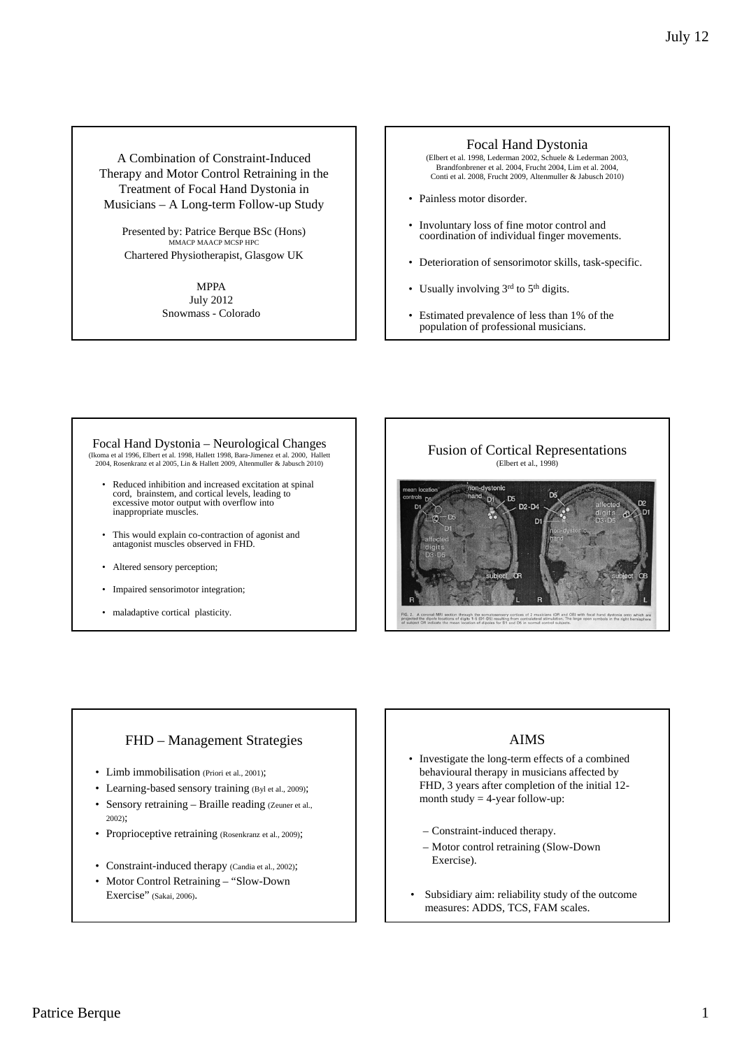A Combination of Constraint-Induced Therapy and Motor Control Retraining in the Treatment of Focal Hand Dystonia in Musicians – A Long-term Follow-up Study

Presented by: Patrice Berque BSc (Hons)<br>MMACP MAACP MCSP HPC Chartered Physiotherapist, Glasgow UK

> MPPA July 2012 Snowmass - Colorado

#### Focal Hand Dystonia

(Elbert et al. 1998, Lederman 2002, Schuele & Lederman 2003, Brandfonbrener et al. 2004, Frucht 2004, Lim et al. 2004, Conti et al. 2008, Frucht 2009, Altenmuller & Jabusch 2010)

- Painless motor disorder.
- Involuntary loss of fine motor control and coordination of individual finger movements.
- Deterioration of sensorimotor skills, task-specific.
- Usually involving 3rd to 5<sup>th</sup> digits.
- Estimated prevalence of less than 1% of the population of professional musicians.

Focal Hand Dystonia – Neurological Changes (Ikoma et al 1996, Elbert et al. 1998, Hallett 1998, Bara-Jimenez et al. 2000, Hallett 2004, Rosenkranz et al 2005, Lin & Hallett 2009, Altenmuller & Jabusch 2010)

- Reduced inhibition and increased excitation at spinal cord, brainstem, and cortical levels, leading to excessive motor output with overflow into inappropriate muscles.
- This would explain co-contraction of agonist and antagonist muscles observed in FHD.
- Altered sensory perception;
- Impaired sensorimotor integration;
- maladaptive cortical plasticity.



# FHD – Management Strategies

- Limb immobilisation (Priori et al., 2001);
- Learning-based sensory training (Byl et al., 2009);
- Sensory retraining Braille reading (Zeuner et al., 2002);
- Proprioceptive retraining (Rosenkranz et al., 2009);
- Constraint-induced therapy (Candia et al., 2002);
- Motor Control Retraining "Slow-Down Exercise" (Sakai, 2006).

# AIMS

- Investigate the long-term effects of a combined behavioural therapy in musicians affected by FHD, 3 years after completion of the initial 12 month study  $=$  4-year follow-up:
	- Constraint-induced therapy.
	- Motor control retraining (Slow-Down Exercise).
- Subsidiary aim: reliability study of the outcome measures: ADDS, TCS, FAM scales.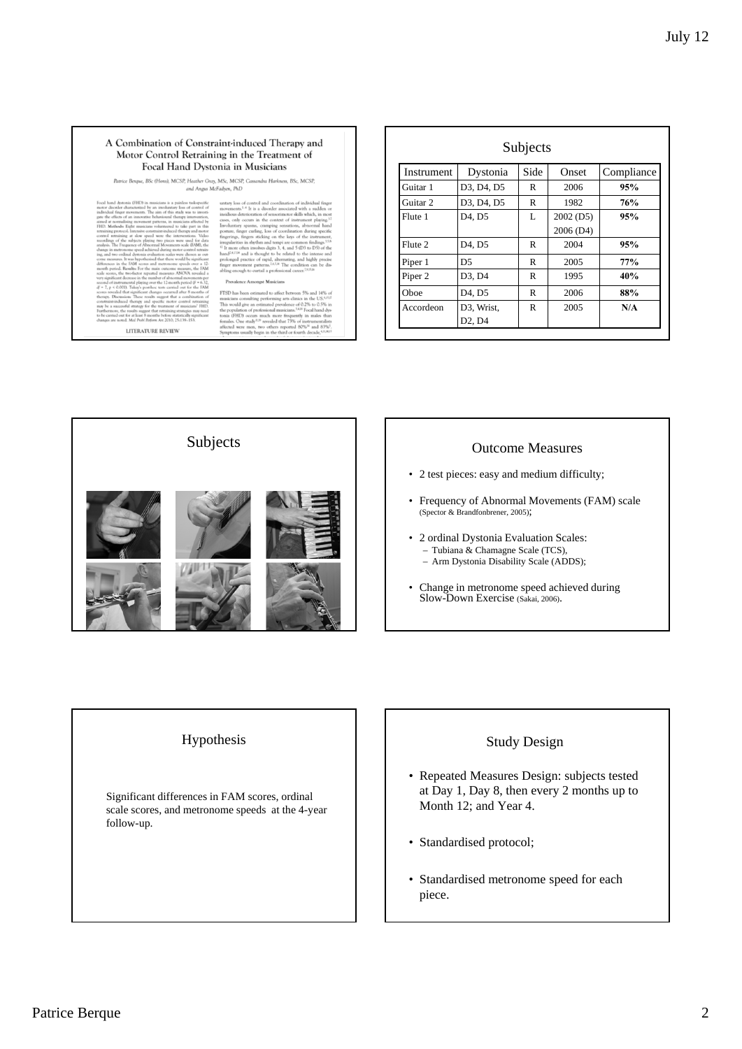#### A Combination of Constraint-induced Therapy and Motor Control Retraining in the Treatment of Focal Hand Dystonia in Musicians

rice Benque, BSc (Hons), MCSP, Heather Gray, MSc, MCSP, Cassandra Harkness, BSc, MCSP,<br>and Angus McFadyen, PhD  $p_{\text{in}}$ 

**LITERATURE REVIEW** 

ng po much more frequence two others reported<br>begin in the third or for

| Subjects           |                                 |      |           |            |  |  |  |
|--------------------|---------------------------------|------|-----------|------------|--|--|--|
| <b>Instrument</b>  | Dystonia                        | Side | Onset     | Compliance |  |  |  |
| Guitar 1           | D3, D4, D5                      | R    | 2006      | 95%        |  |  |  |
| Guitar 2           | D3, D4, D5                      | R    | 1982      | 76%        |  |  |  |
| Flute 1            | D <sub>4</sub> , D <sub>5</sub> | L    | 2002 (D5) | 95%        |  |  |  |
|                    |                                 |      | 2006 (D4) |            |  |  |  |
| Flute 2            | D <sub>4</sub> , D <sub>5</sub> | R    | 2004      | 95%        |  |  |  |
| Piper 1            | D <sub>5</sub>                  | R    | 2005      | 77%        |  |  |  |
| Piper <sub>2</sub> | D3, D4                          | R    | 1995      | 40%        |  |  |  |
| Oboe               | D <sub>4</sub> , D <sub>5</sub> | R    | 2006      | 88%        |  |  |  |
| Accordeon          | D3, Wrist,                      | R    | 2005      | N/A        |  |  |  |
|                    | D <sub>2</sub> , D <sub>4</sub> |      |           |            |  |  |  |



- 2 test pieces: easy and medium difficulty;
- Frequency of Abnormal Movements (FAM) scale (Spector & Brandfonbrener, 2005);
- 2 ordinal Dystonia Evaluation Scales: – Tubiana & Chamagne Scale (TCS), – Arm Dystonia Disability Scale (ADDS);
- Change in metronome speed achieved during Slow-Down Exercise (Sakai, 2006).

#### Hypothesis

Significant differences in FAM scores, ordinal scale scores, and metronome speeds at the 4-year follow-up.

### Study Design

- Repeated Measures Design: subjects tested at Day 1, Day 8, then every 2 months up to Month 12; and Year 4.
- Standardised protocol;
- Standardised metronome speed for each piece.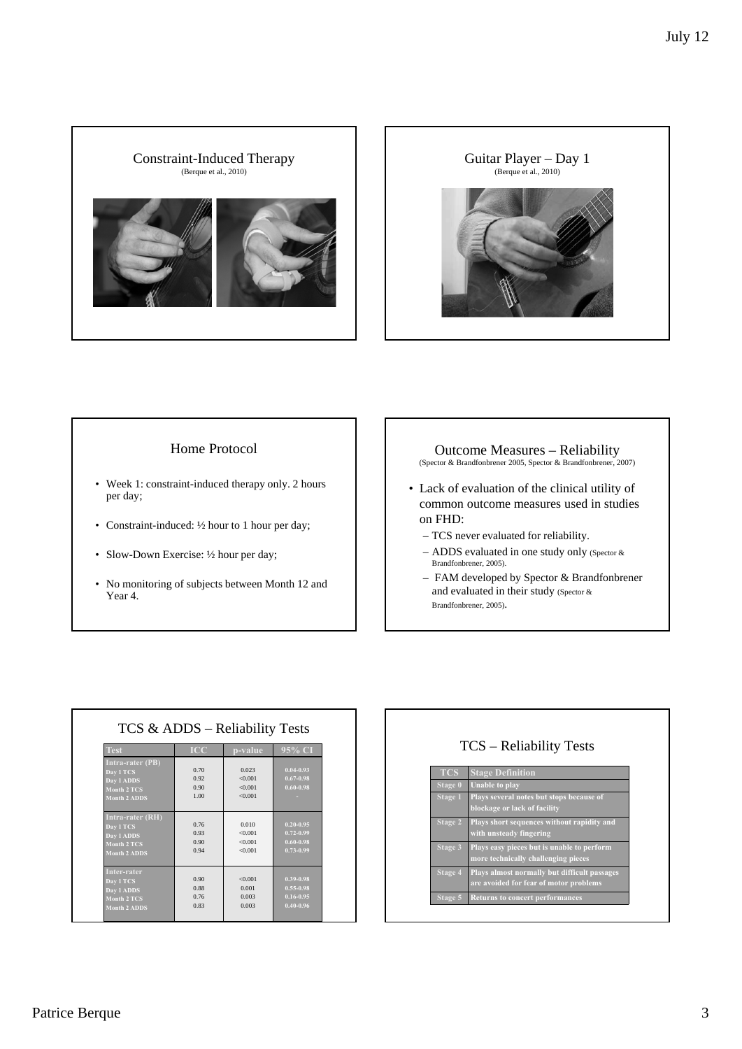



## Home Protocol

- Week 1: constraint-induced therapy only. 2 hours per day;
- Constraint-induced: 1/2 hour to 1 hour per day;
- Slow-Down Exercise: 1/2 hour per day;
- No monitoring of subjects between Month 12 and Year 4.

#### Outcome Measures – Reliability

(Spector & Brandfonbrener 2005, Spector & Brandfonbrener, 2007)

- Lack of evaluation of the clinical utility of common outcome measures used in studies on FHD:
	- TCS never evaluated for reliability.
	- ADDS evaluated in one study only (Spector & Brandfonbrener, 2005).
	- FAM developed by Spector & Brandfonbrener and evaluated in their study (Spector & Brandfonbrener, 2005).

| <b>Test</b>             | <b>ICC</b> | p-value | 95% CI        |
|-------------------------|------------|---------|---------------|
| <b>Intra-rater (PB)</b> |            |         |               |
| Day 1 TCS               | 0.70       | 0.023   | $0.04 - 0.93$ |
| Day 1 ADDS              | 0.92       | < 0.001 | $0.67 - 0.98$ |
| <b>Month 2 TCS</b>      | 0.90       | < 0.001 | $0.60 - 0.98$ |
| <b>Month 2 ADDS</b>     | 1.00       | < 0.001 |               |
|                         |            |         |               |
| <b>Intra-rater (RH)</b> |            |         |               |
| Day 1 TCS               | 0.76       | 0.010   | $0.20 - 0.95$ |
| Day 1 ADDS              | 0.93       | < 0.001 | $0.72 - 0.99$ |
| <b>Month 2 TCS</b>      | 0.90       | < 0.001 | $0.60 - 0.98$ |
| <b>Month 2 ADDS</b>     | 0.94       | < 0.001 | $0.73 - 0.99$ |
|                         |            |         |               |
| Inter-rater             |            |         |               |
| Day 1 TCS               | 0.90       | < 0.001 | $0.39 - 0.98$ |
| Day 1 ADDS              | 0.88       | 0.001   | $0.55 - 0.98$ |
|                         | 0.76       | 0.003   | $0.16 - 0.95$ |

| <b>TCS</b>     | <b>Stage Definition</b>                                                                |
|----------------|----------------------------------------------------------------------------------------|
| Stage 0        | <b>Unable to play</b>                                                                  |
| <b>Stage 1</b> | Plays several notes but stops because of<br>blockage or lack of facility               |
| <b>Stage 2</b> | Plays short sequences without rapidity and<br>with unsteady fingering                  |
| Stage 3        | Plays easy pieces but is unable to perform<br>more technically challenging pieces      |
| Stage 4        | Plays almost normally but difficult passages<br>are avoided for fear of motor problems |
| Stage 5        | <b>Returns to concert performances</b>                                                 |

# Patrice Berque 3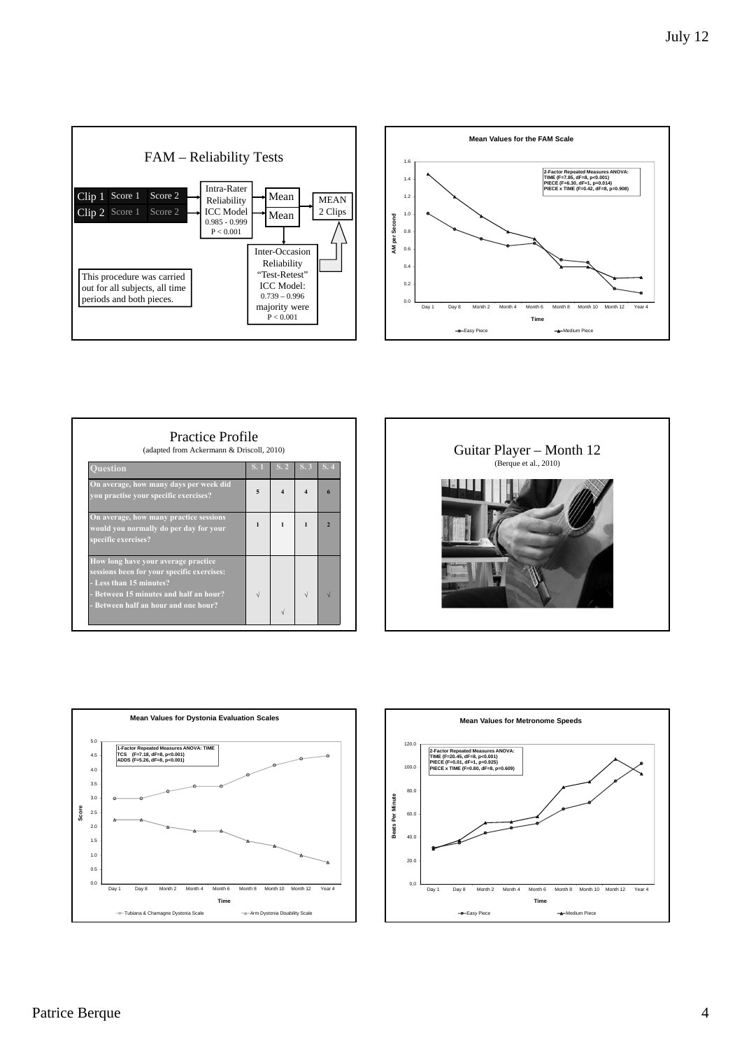



| On average, how many days per week did                                                                                                                 |   |  |                          |
|--------------------------------------------------------------------------------------------------------------------------------------------------------|---|--|--------------------------|
| you practise your specific exercises?                                                                                                                  | 5 |  |                          |
| On average, how many practice sessions<br>would you normally do per day for your<br>specific exercises?                                                | 1 |  | $\overline{\phantom{a}}$ |
| How long have your average practice<br>sessions been for your specific exercises:<br>- Less than 15 minutes?<br>- Between 15 minutes and half an hour? |   |  |                          |